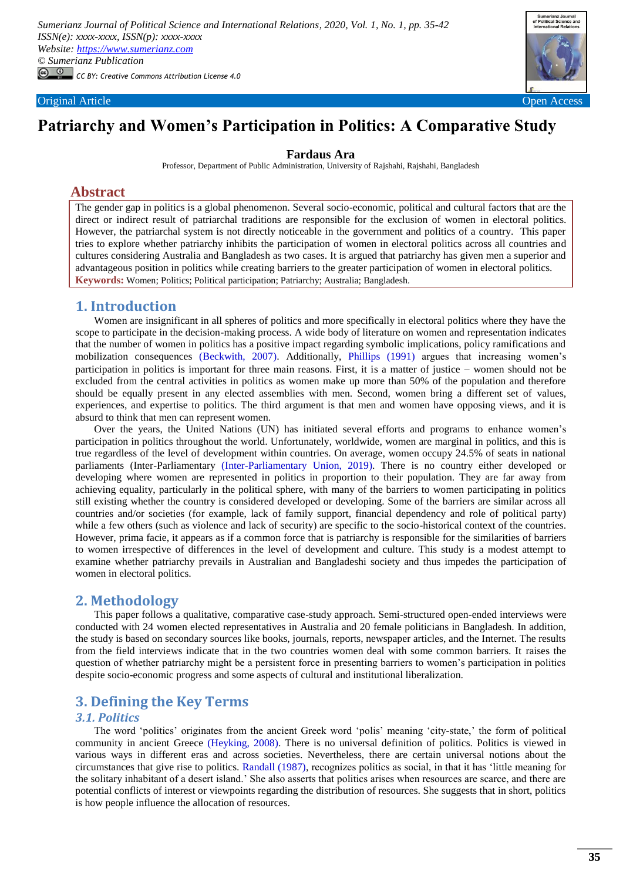

# **Patriarchy and Women's Participation in Politics: A Comparative Study**

#### **Fardaus Ara**

Professor, Department of Public Administration, University of Rajshahi, Rajshahi, Bangladesh

# **Abstract**

The gender gap in politics is a global phenomenon. Several socio-economic, political and cultural factors that are the direct or indirect result of patriarchal traditions are responsible for the exclusion of women in electoral politics. However, the patriarchal system is not directly noticeable in the government and politics of a country. This paper tries to explore whether patriarchy inhibits the participation of women in electoral politics across all countries and cultures considering Australia and Bangladesh as two cases. It is argued that patriarchy has given men a superior and advantageous position in politics while creating barriers to the greater participation of women in electoral politics. **Keywords:** Women; Politics; Political participation; Patriarchy; Australia; Bangladesh.

# **1. Introduction**

Women are insignificant in all spheres of politics and more specifically in electoral politics where they have the scope to participate in the decision-making process. A wide body of literature on women and representation indicates that the number of women in politics has a positive impact regarding symbolic implications, policy ramifications and mobilization consequences [\(Beckwith, 2007\)](#page-6-0). Additionally, [Phillips \(1991\)](#page-7-0) argues that increasing women's participation in politics is important for three main reasons. First, it is a matter of justice  $-$  women should not be excluded from the central activities in politics as women make up more than 50% of the population and therefore should be equally present in any elected assemblies with men. Second, women bring a different set of values, experiences, and expertise to politics. The third argument is that men and women have opposing views, and it is absurd to think that men can represent women.

Over the years, the United Nations (UN) has initiated several efforts and programs to enhance women's participation in politics throughout the world. Unfortunately, worldwide, women are marginal in politics, and this is true regardless of the level of development within countries. On average, women occupy 24.5% of seats in national parliaments (Inter-Parliamentary [\(Inter-Parliamentary Union, 2019\)](#page-7-1). There is no country either developed or developing where women are represented in politics in proportion to their population. They are far away from achieving equality, particularly in the political sphere, with many of the barriers to women participating in politics still existing whether the country is considered developed or developing. Some of the barriers are similar across all countries and/or societies (for example, lack of family support, financial dependency and role of political party) while a few others (such as violence and lack of security) are specific to the socio-historical context of the countries. However, prima facie, it appears as if a common force that is patriarchy is responsible for the similarities of barriers to women irrespective of differences in the level of development and culture. This study is a modest attempt to examine whether patriarchy prevails in Australian and Bangladeshi society and thus impedes the participation of women in electoral politics.

### **2. Methodology**

This paper follows a qualitative, comparative case-study approach. Semi-structured open-ended interviews were conducted with 24 women elected representatives in Australia and 20 female politicians in Bangladesh. In addition, the study is based on secondary sources like books, journals, reports, newspaper articles, and the Internet. The results from the field interviews indicate that in the two countries women deal with some common barriers. It raises the question of whether patriarchy might be a persistent force in presenting barriers to women's participation in politics despite socio-economic progress and some aspects of cultural and institutional liberalization.

# **3. Defining the Key Terms**

## *3.1. Politics*

The word 'politics' originates from the ancient Greek word 'polis' meaning 'city-state,' the form of political community in ancient Greece [\(Heyking, 2008\)](#page-6-1). There is no universal definition of politics. Politics is viewed in various ways in different eras and across societies. Nevertheless, there are certain universal notions about the circumstances that give rise to politics. [Randall \(1987\),](#page-7-2) recognizes politics as social, in that it has 'little meaning for the solitary inhabitant of a desert island.' She also asserts that politics arises when resources are scarce, and there are potential conflicts of interest or viewpoints regarding the distribution of resources. She suggests that in short, politics is how people influence the allocation of resources.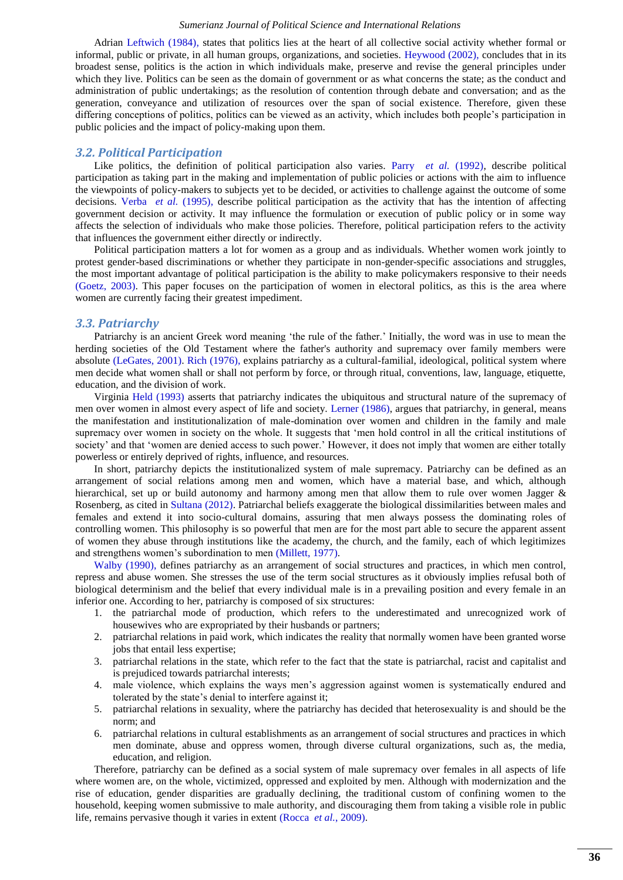Adrian [Leftwich \(1984\),](#page-7-3) states that politics lies at the heart of all collective social activity whether formal or informal, public or private, in all human groups, organizations, and societies. [Heywood \(2002\),](#page-6-2) concludes that in its broadest sense, politics is the action in which individuals make, preserve and revise the general principles under which they live. Politics can be seen as the domain of government or as what concerns the state; as the conduct and administration of public undertakings; as the resolution of contention through debate and conversation; and as the generation, conveyance and utilization of resources over the span of social existence. Therefore, given these differing conceptions of politics, politics can be viewed as an activity, which includes both people's participation in public policies and the impact of policy-making upon them.

#### *3.2. Political Participation*

Like politics, the definition of political participation also varies. Parry *[et al.](#page-7-4)* (1992), describe political participation as taking part in the making and implementation of public policies or actions with the aim to influence the viewpoints of policy-makers to subjects yet to be decided, or activities to challenge against the outcome of some decisions. Verba *et al.* (1995), describe political participation as the activity that has the intention of affecting government decision or activity. It may influence the formulation or execution of public policy or in some way affects the selection of individuals who make those policies. Therefore, political participation refers to the activity that influences the government either directly or indirectly.

Political participation matters a lot for women as a group and as individuals. Whether women work jointly to protest gender-based discriminations or whether they participate in non-gender-specific associations and struggles, the most important advantage of political participation is the ability to make policymakers responsive to their needs [\(Goetz, 2003\)](#page-6-3). This paper focuses on the participation of women in electoral politics, as this is the area where women are currently facing their greatest impediment.

#### *3.3. Patriarchy*

Patriarchy is an ancient Greek word meaning 'the rule of the father.' Initially, the word was in use to mean the herding societies of the Old Testament where the father's authority and supremacy over family members were absolute [\(LeGates, 2001\)](#page-7-6). [Rich \(1976\),](#page-7-7) explains patriarchy as a cultural-familial, ideological, political system where men decide what women shall or shall not perform by force, or through ritual, conventions, law, language, etiquette, education, and the division of work.

Virginia [Held \(1993\)](#page-6-4) asserts that patriarchy indicates the ubiquitous and structural nature of the supremacy of men over women in almost every aspect of life and society. [Lerner \(1986\),](#page-7-8) argues that patriarchy, in general, means the manifestation and institutionalization of male-domination over women and children in the family and male supremacy over women in society on the whole. It suggests that 'men hold control in all the critical institutions of society' and that 'women are denied access to such power.' However, it does not imply that women are either totally powerless or entirely deprived of rights, influence, and resources.

In short, patriarchy depicts the institutionalized system of male supremacy. Patriarchy can be defined as an arrangement of social relations among men and women, which have a material base, and which, although hierarchical, set up or build autonomy and harmony among men that allow them to rule over women Jagger & Rosenberg, as cited in [Sultana \(2012\).](#page-7-9) Patriarchal beliefs exaggerate the biological dissimilarities between males and females and extend it into socio-cultural domains, assuring that men always possess the dominating roles of controlling women. This philosophy is so powerful that men are for the most part able to secure the apparent assent of women they abuse through institutions like the academy, the church, and the family, each of which legitimizes and strengthens women's subordination to men [\(Millett, 1977\)](#page-7-10).

[Walby \(1990\),](#page-7-11) defines patriarchy as an arrangement of social structures and practices, in which men control, repress and abuse women. She stresses the use of the term social structures as it obviously implies refusal both of biological determinism and the belief that every individual male is in a prevailing position and every female in an inferior one. According to her, patriarchy is composed of six structures:

- 1. the patriarchal mode of production, which refers to the underestimated and unrecognized work of housewives who are expropriated by their husbands or partners;
- 2. patriarchal relations in paid work, which indicates the reality that normally women have been granted worse jobs that entail less expertise;
- 3. patriarchal relations in the state, which refer to the fact that the state is patriarchal, racist and capitalist and is prejudiced towards patriarchal interests;
- 4. male violence, which explains the ways men's aggression against women is systematically endured and tolerated by the state's denial to interfere against it;
- 5. patriarchal relations in sexuality, where the patriarchy has decided that heterosexuality is and should be the norm; and
- 6. patriarchal relations in cultural establishments as an arrangement of social structures and practices in which men dominate, abuse and oppress women, through diverse cultural organizations, such as, the media, education, and religion.

Therefore, patriarchy can be defined as a social system of male supremacy over females in all aspects of life where women are, on the whole, victimized, oppressed and exploited by men. Although with modernization and the rise of education, gender disparities are gradually declining, the traditional custom of confining women to the household, keeping women submissive to male authority, and discouraging them from taking a visible role in public life, remains pervasive though it varies in extent [\(Rocca](#page-7-12) *et al.*, 2009).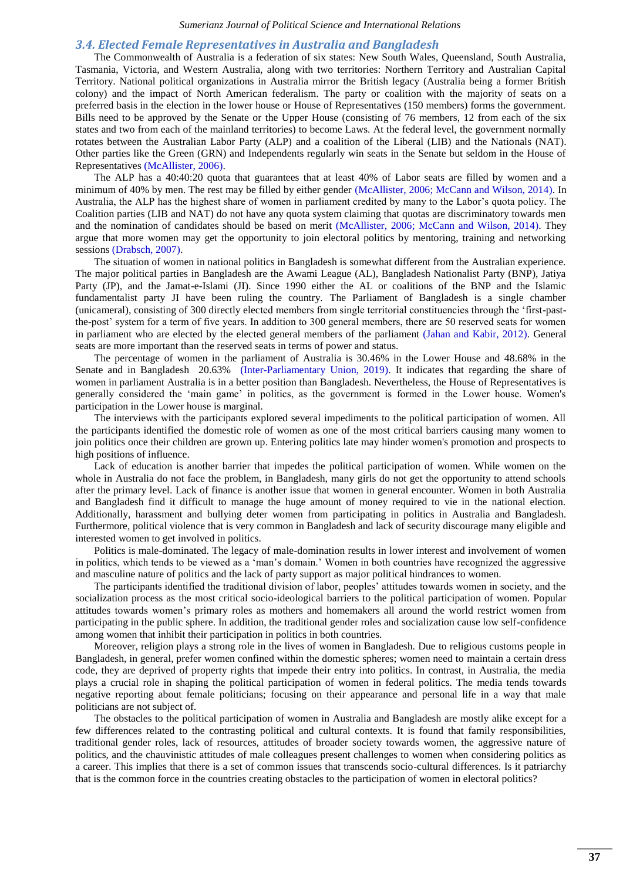#### *3.4. Elected Female Representatives in Australia and Bangladesh*

The Commonwealth of Australia is a federation of six states: New South Wales, Queensland, South Australia, Tasmania, Victoria, and Western Australia, along with two territories: Northern Territory and Australian Capital Territory. National political organizations in Australia mirror the British legacy (Australia being a former British colony) and the impact of North American federalism. The party or coalition with the majority of seats on a preferred basis in the election in the lower house or House of Representatives (150 members) forms the government. Bills need to be approved by the Senate or the Upper House (consisting of 76 members, 12 from each of the six states and two from each of the mainland territories) to become Laws. At the federal level, the government normally rotates between the Australian Labor Party (ALP) and a coalition of the Liberal (LIB) and the Nationals (NAT). Other parties like the Green (GRN) and Independents regularly win seats in the Senate but seldom in the House of Representatives [\(McAllister, 2006\)](#page-7-13).

The ALP has a 40:40:20 quota that guarantees that at least 40% of Labor seats are filled by women and a minimum of 40% by men. The rest may be filled by either gender [\(McAllister, 2006;](#page-7-13) [McCann and Wilson, 2014\)](#page-7-14). In Australia, the ALP has the highest share of women in parliament credited by many to the Labor's quota policy. The Coalition parties (LIB and NAT) do not have any quota system claiming that quotas are discriminatory towards men and the nomination of candidates should be based on merit [\(McAllister, 2006;](#page-7-13) [McCann and Wilson, 2014\)](#page-7-14). They argue that more women may get the opportunity to join electoral politics by mentoring, training and networking sessions [\(Drabsch, 2007\)](#page-6-5).

The situation of women in national politics in Bangladesh is somewhat different from the Australian experience. The major political parties in Bangladesh are the Awami League (AL), Bangladesh Nationalist Party (BNP), Jatiya Party (JP), and the Jamat-e-Islami (JI). Since 1990 either the AL or coalitions of the BNP and the Islamic fundamentalist party JI have been ruling the country. The Parliament of Bangladesh is a single chamber (unicameral), consisting of 300 directly elected members from single territorial constituencies through the 'first-pastthe-post' system for a term of five years. In addition to 300 general members, there are 50 reserved seats for women in parliament who are elected by the elected general members of the parliament [\(Jahan and Kabir, 2012\)](#page-7-15). General seats are more important than the reserved seats in terms of power and status.

The percentage of women in the parliament of Australia is 30.46% in the Lower House and 48.68% in the Senate and in Bangladesh 20.63% [\(Inter-Parliamentary Union, 2019\)](#page-7-1). It indicates that regarding the share of women in parliament Australia is in a better position than Bangladesh. Nevertheless, the House of Representatives is generally considered the 'main game' in politics, as the government is formed in the Lower house. Women's participation in the Lower house is marginal.

The interviews with the participants explored several impediments to the political participation of women. All the participants identified the domestic role of women as one of the most critical barriers causing many women to join politics once their children are grown up. Entering politics late may hinder women's promotion and prospects to high positions of influence.

Lack of education is another barrier that impedes the political participation of women. While women on the whole in Australia do not face the problem, in Bangladesh, many girls do not get the opportunity to attend schools after the primary level. Lack of finance is another issue that women in general encounter. Women in both Australia and Bangladesh find it difficult to manage the huge amount of money required to vie in the national election. Additionally, harassment and bullying deter women from participating in politics in Australia and Bangladesh. Furthermore, political violence that is very common in Bangladesh and lack of security discourage many eligible and interested women to get involved in politics.

Politics is male-dominated. The legacy of male-domination results in lower interest and involvement of women in politics, which tends to be viewed as a 'man's domain.' Women in both countries have recognized the aggressive and masculine nature of politics and the lack of party support as major political hindrances to women.

The participants identified the traditional division of labor, peoples' attitudes towards women in society, and the socialization process as the most critical socio-ideological barriers to the political participation of women. Popular attitudes towards women's primary roles as mothers and homemakers all around the world restrict women from participating in the public sphere. In addition, the traditional gender roles and socialization cause low self-confidence among women that inhibit their participation in politics in both countries.

Moreover, religion plays a strong role in the lives of women in Bangladesh. Due to religious customs people in Bangladesh, in general, prefer women confined within the domestic spheres; women need to maintain a certain dress code, they are deprived of property rights that impede their entry into politics. In contrast, in Australia, the media plays a crucial role in shaping the political participation of women in federal politics. The media tends towards negative reporting about female politicians; focusing on their appearance and personal life in a way that male politicians are not subject of.

The obstacles to the political participation of women in Australia and Bangladesh are mostly alike except for a few differences related to the contrasting political and cultural contexts. It is found that family responsibilities, traditional gender roles, lack of resources, attitudes of broader society towards women, the aggressive nature of politics, and the chauvinistic attitudes of male colleagues present challenges to women when considering politics as a career. This implies that there is a set of common issues that transcends socio-cultural differences. Is it patriarchy that is the common force in the countries creating obstacles to the participation of women in electoral politics?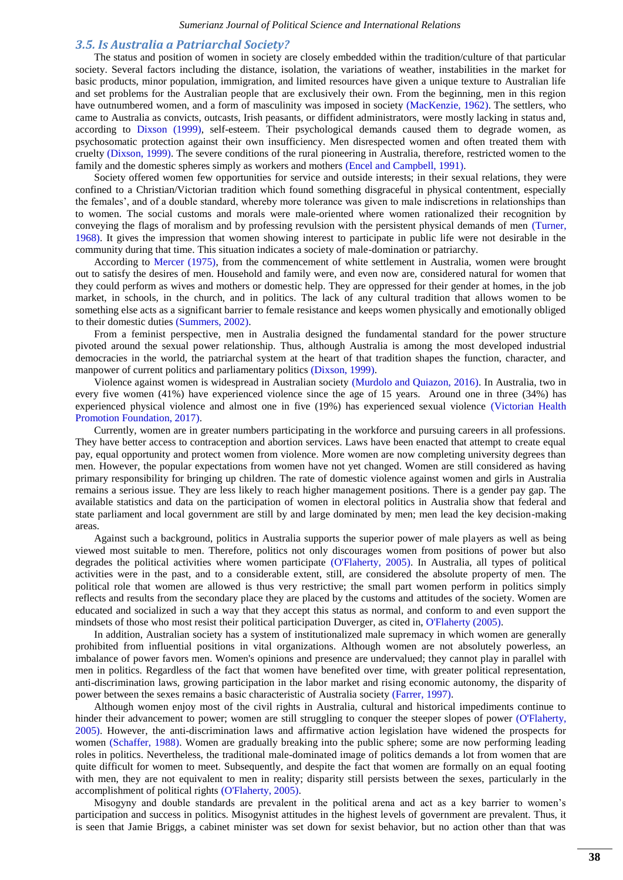#### *3.5. Is Australia a Patriarchal Society?*

The status and position of women in society are closely embedded within the tradition/culture of that particular society. Several factors including the distance, isolation, the variations of weather, instabilities in the market for basic products, minor population, immigration, and limited resources have given a unique texture to Australian life and set problems for the Australian people that are exclusively their own. From the beginning, men in this region have outnumbered women, and a form of masculinity was imposed in society [\(MacKenzie, 1962\)](#page-7-16). The settlers, who came to Australia as convicts, outcasts, Irish peasants, or diffident administrators, were mostly lacking in status and, according to [Dixson \(1999\),](#page-6-6) self-esteem. Their psychological demands caused them to degrade women, as psychosomatic protection against their own insufficiency. Men disrespected women and often treated them with cruelty [\(Dixson, 1999\)](#page-6-6). The severe conditions of the rural pioneering in Australia, therefore, restricted women to the family and the domestic spheres simply as workers and mothers [\(Encel and Campbell, 1991\)](#page-6-7).

Society offered women few opportunities for service and outside interests; in their sexual relations, they were confined to a Christian/Victorian tradition which found something disgraceful in physical contentment, especially the females', and of a double standard, whereby more tolerance was given to male indiscretions in relationships than to women. The social customs and morals were male-oriented where women rationalized their recognition by conveying the flags of moralism and by professing revulsion with the persistent physical demands of men [\(Turner,](#page-7-17)  [1968\)](#page-7-17). It gives the impression that women showing interest to participate in public life were not desirable in the community during that time. This situation indicates a society of male-domination or patriarchy.

According to [Mercer \(1975\),](#page-7-18) from the commencement of white settlement in Australia, women were brought out to satisfy the desires of men. Household and family were, and even now are, considered natural for women that they could perform as wives and mothers or domestic help. They are oppressed for their gender at homes, in the job market, in schools, in the church, and in politics. The lack of any cultural tradition that allows women to be something else acts as a significant barrier to female resistance and keeps women physically and emotionally obliged to their domestic duties [\(Summers, 2002\)](#page-7-19).

From a feminist perspective, men in Australia designed the fundamental standard for the power structure pivoted around the sexual power relationship. Thus, although Australia is among the most developed industrial democracies in the world, the patriarchal system at the heart of that tradition shapes the function, character, and manpower of current politics and parliamentary politics [\(Dixson, 1999\)](#page-6-6).

Violence against women is widespread in Australian society [\(Murdolo and Quiazon, 2016\)](#page-7-20). In Australia, two in every five women (41%) have experienced violence since the age of 15 years. Around one in three (34%) has experienced physical violence and almost one in five (19%) has experienced sexual violence [\(Victorian Health](#page-7-21)  [Promotion Foundation, 2017\)](#page-7-21).

Currently, women are in greater numbers participating in the workforce and pursuing careers in all professions. They have better access to contraception and abortion services. Laws have been enacted that attempt to create equal pay, equal opportunity and protect women from violence. More women are now completing university degrees than men. However, the popular expectations from women have not yet changed. Women are still considered as having primary responsibility for bringing up children. The rate of domestic violence against women and girls in Australia remains a serious issue. They are less likely to reach higher management positions. There is a gender pay gap. The available statistics and data on the participation of women in electoral politics in Australia show that federal and state parliament and local government are still by and large dominated by men; men lead the key decision-making areas.

Against such a background, politics in Australia supports the superior power of male players as well as being viewed most suitable to men. Therefore, politics not only discourages women from positions of power but also degrades the political activities where women participate [\(O'Flaherty, 2005\)](#page-7-22). In Australia, all types of political activities were in the past, and to a considerable extent, still, are considered the absolute property of men. The political role that women are allowed is thus very restrictive; the small part women perform in politics simply reflects and results from the secondary place they are placed by the customs and attitudes of the society. Women are educated and socialized in such a way that they accept this status as normal, and conform to and even support the mindsets of those who most resist their political participation Duverger, as cited in, [O'Flaherty \(2005\).](#page-7-22)

In addition, Australian society has a system of institutionalized male supremacy in which women are generally prohibited from influential positions in vital organizations. Although women are not absolutely powerless, an imbalance of power favors men. Women's opinions and presence are undervalued; they cannot play in parallel with men in politics. Regardless of the fact that women have benefited over time, with greater political representation, anti-discrimination laws, growing participation in the labor market and rising economic autonomy, the disparity of power between the sexes remains a basic characteristic of Australia society [\(Farrer, 1997\)](#page-6-8).

Although women enjoy most of the civil rights in Australia, cultural and historical impediments continue to hinder their advancement to power; women are still struggling to conquer the steeper slopes of power [\(O'Flaherty,](#page-7-22)  [2005\)](#page-7-22). However, the anti-discrimination laws and affirmative action legislation have widened the prospects for women [\(Schaffer, 1988\)](#page-7-23). Women are gradually breaking into the public sphere; some are now performing leading roles in politics. Nevertheless, the traditional male-dominated image of politics demands a lot from women that are quite difficult for women to meet. Subsequently, and despite the fact that women are formally on an equal footing with men, they are not equivalent to men in reality; disparity still persists between the sexes, particularly in the accomplishment of political rights [\(O'Flaherty, 2005\)](#page-7-22).

Misogyny and double standards are prevalent in the political arena and act as a key barrier to women's participation and success in politics. Misogynist attitudes in the highest levels of government are prevalent. Thus, it is seen that Jamie Briggs, a cabinet minister was set down for sexist behavior, but no action other than that was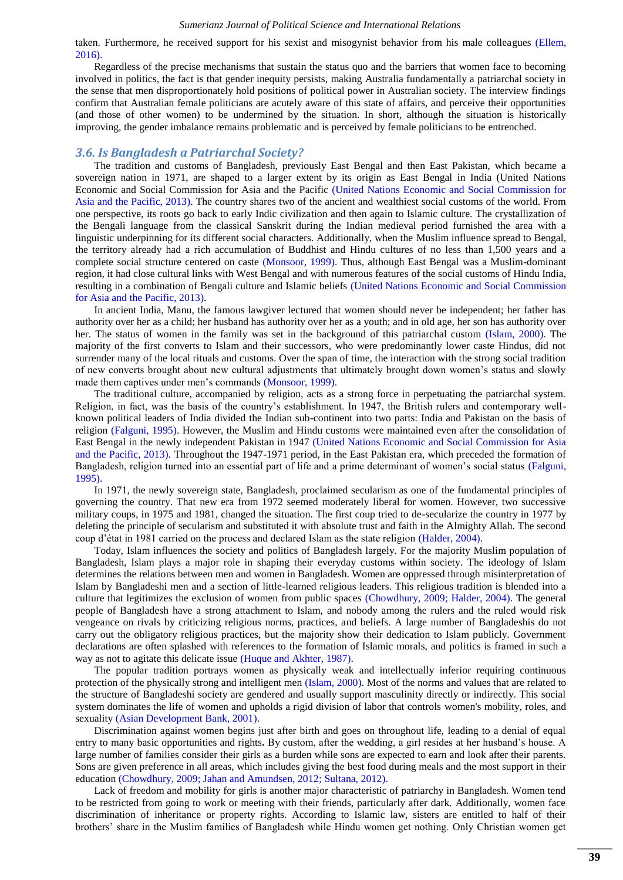taken. Furthermore, he received support for his sexist and misogynist behavior from his male colleagues [\(Ellem,](#page-6-9)  [2016\)](#page-6-9).

Regardless of the precise mechanisms that sustain the status quo and the barriers that women face to becoming involved in politics, the fact is that gender inequity persists, making Australia fundamentally a patriarchal society in the sense that men disproportionately hold positions of political power in Australian society. The interview findings confirm that Australian female politicians are acutely aware of this state of affairs, and perceive their opportunities (and those of other women) to be undermined by the situation. In short, although the situation is historically improving, the gender imbalance remains problematic and is perceived by female politicians to be entrenched.

#### *3.6. Is Bangladesh a Patriarchal Society?*

The tradition and customs of Bangladesh, previously East Bengal and then East Pakistan, which became a sovereign nation in 1971, are shaped to a larger extent by its origin as East Bengal in India (United Nations Economic and Social Commission for Asia and the Pacific [\(United Nations Economic and Social Commission for](#page-7-24)  [Asia and the Pacific, 2013\)](#page-7-24). The country shares two of the ancient and wealthiest social customs of the world. From one perspective, its roots go back to early Indic civilization and then again to Islamic culture. The crystallization of the Bengali language from the classical Sanskrit during the Indian medieval period furnished the area with a linguistic underpinning for its different social characters. Additionally, when the Muslim influence spread to Bengal, the territory already had a rich accumulation of Buddhist and Hindu cultures of no less than 1,500 years and a complete social structure centered on caste [\(Monsoor, 1999\)](#page-7-25). Thus, although East Bengal was a Muslim-dominant region, it had close cultural links with West Bengal and with numerous features of the social customs of Hindu India, resulting in a combination of Bengali culture and Islamic beliefs [\(United Nations Economic and Social Commission](#page-7-24)  [for Asia and the Pacific, 2013\)](#page-7-24).

In ancient India, Manu, the famous lawgiver lectured that women should never be independent; her father has authority over her as a child; her husband has authority over her as a youth; and in old age, her son has authority over her. The status of women in the family was set in the background of this patriarchal custom [\(Islam, 2000\)](#page-7-26). The majority of the first converts to Islam and their successors, who were predominantly lower caste Hindus, did not surrender many of the local rituals and customs. Over the span of time, the interaction with the strong social tradition of new converts brought about new cultural adjustments that ultimately brought down women's status and slowly made them captives under men's commands [\(Monsoor, 1999\)](#page-7-25).

The traditional culture, accompanied by religion, acts as a strong force in perpetuating the patriarchal system. Religion, in fact, was the basis of the country's establishment. In 1947, the British rulers and contemporary wellknown political leaders of India divided the Indian sub-continent into two parts: India and Pakistan on the basis of religion [\(Falguni, 1995\)](#page-6-10). However, the Muslim and Hindu customs were maintained even after the consolidation of East Bengal in the newly independent Pakistan in 1947 [\(United Nations Economic and Social Commission for Asia](#page-7-24)  [and the Pacific, 2013\)](#page-7-24). Throughout the 1947-1971 period, in the East Pakistan era, which preceded the formation of Bangladesh, religion turned into an essential part of life and a prime determinant of women's social status [\(Falguni,](#page-6-10)  [1995\)](#page-6-10).

In 1971, the newly sovereign state, Bangladesh, proclaimed secularism as one of the fundamental principles of governing the country. That new era from 1972 seemed moderately liberal for women. However, two successive military coups, in 1975 and 1981, changed the situation. The first coup tried to de-secularize the country in 1977 by deleting the principle of secularism and substituted it with absolute trust and faith in the Almighty Allah. The second coup d'état in 1981 carried on the process and declared Islam as the state religion [\(Halder, 2004\)](#page-6-11).

Today, Islam influences the society and politics of Bangladesh largely. For the majority Muslim population of Bangladesh, Islam plays a major role in shaping their everyday customs within society. The ideology of Islam determines the relations between men and women in Bangladesh. Women are oppressed through misinterpretation of Islam by Bangladeshi men and a section of little-learned religious leaders. This religious tradition is blended into a culture that legitimizes the exclusion of women from public spaces [\(Chowdhury, 2009;](#page-6-12) [Halder, 2004\)](#page-6-11). The general people of Bangladesh have a strong attachment to Islam, and nobody among the rulers and the ruled would risk vengeance on rivals by criticizing religious norms, practices, and beliefs. A large number of Bangladeshis do not carry out the obligatory religious practices, but the majority show their dedication to Islam publicly. Government declarations are often splashed with references to the formation of Islamic morals, and politics is framed in such a way as not to agitate this delicate issue [\(Huque and Akhter, 1987\)](#page-6-13).

The popular tradition portrays women as physically weak and intellectually inferior requiring continuous protection of the physically strong and intelligent men [\(Islam, 2000\)](#page-7-26). Most of the norms and values that are related to the structure of Bangladeshi society are gendered and usually support masculinity directly or indirectly. This social system dominates the life of women and upholds a rigid division of labor that controls women's mobility, roles, and sexuality [\(Asian Development Bank, 2001\)](#page-6-14).

Discrimination against women begins just after birth and goes on throughout life, leading to a denial of equal entry to many basic opportunities and rights**.** By custom, after the wedding, a girl resides at her husband's house. A large number of families consider their girls as a burden while sons are expected to earn and look after their parents. Sons are given preference in all areas, which includes giving the best food during meals and the most support in their education [\(Chowdhury, 2009;](#page-6-12) [Jahan and Amundsen, 2012;](#page-7-27) [Sultana, 2012\)](#page-7-9).

Lack of freedom and mobility for girls is another major characteristic of patriarchy in Bangladesh. Women tend to be restricted from going to work or meeting with their friends, particularly after dark. Additionally, women face discrimination of inheritance or property rights. According to Islamic law, sisters are entitled to half of their brothers' share in the Muslim families of Bangladesh while Hindu women get nothing. Only Christian women get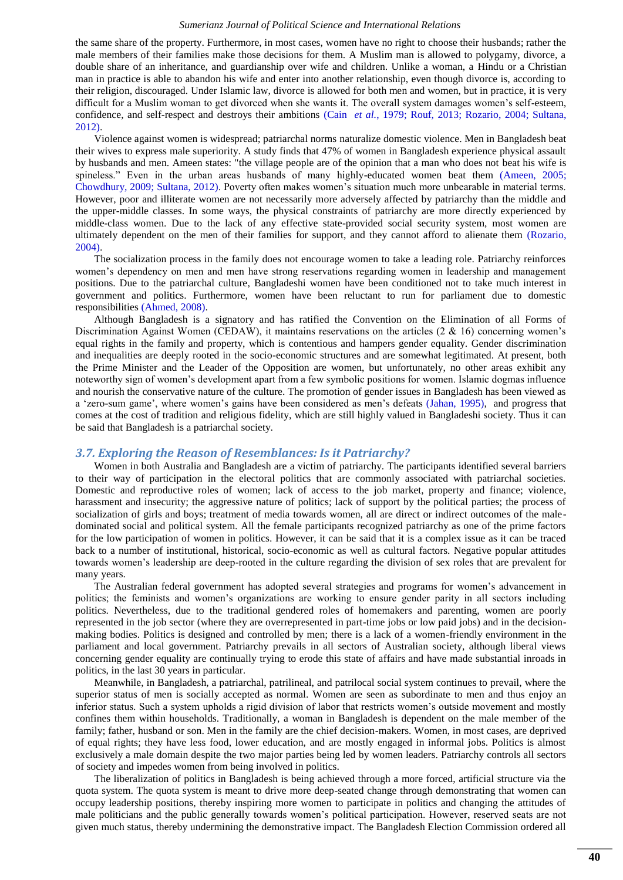the same share of the property. Furthermore, in most cases, women have no right to choose their husbands; rather the male members of their families make those decisions for them. A Muslim man is allowed to polygamy, divorce, a double share of an inheritance, and guardianship over wife and children. Unlike a woman, a Hindu or a Christian man in practice is able to abandon his wife and enter into another relationship, even though divorce is, according to their religion, discouraged. Under Islamic law, divorce is allowed for both men and women, but in practice, it is very difficult for a Muslim woman to get divorced when she wants it. The overall system damages women's self-esteem, confidence, and self-respect and destroys their ambitions (Cain *[et al.](#page-6-15)*, 1979; [Rouf, 2013;](#page-7-28) [Rozario, 2004;](#page-7-29) [Sultana,](#page-7-9)  [2012\)](#page-7-9).

Violence against women is widespread; patriarchal norms naturalize domestic violence. Men in Bangladesh beat their wives to express male superiority. A study finds that 47% of women in Bangladesh experience physical assault by husbands and men. Ameen states: "the village people are of the opinion that a man who does not beat his wife is spineless." Even in the urban areas husbands of many highly-educated women beat them [\(Ameen, 2005;](#page-6-16) [Chowdhury, 2009;](#page-6-12) [Sultana, 2012\)](#page-7-9). Poverty often makes women's situation much more unbearable in material terms. However, poor and illiterate women are not necessarily more adversely affected by patriarchy than the middle and the upper-middle classes. In some ways, the physical constraints of patriarchy are more directly experienced by middle-class women. Due to the lack of any effective state-provided social security system, most women are ultimately dependent on the men of their families for support, and they cannot afford to alienate them [\(Rozario,](#page-7-29)  [2004\)](#page-7-29).

The socialization process in the family does not encourage women to take a leading role. Patriarchy reinforces women's dependency on men and men have strong reservations regarding women in leadership and management positions. Due to the patriarchal culture, Bangladeshi women have been conditioned not to take much interest in government and politics. Furthermore, women have been reluctant to run for parliament due to domestic responsibilities [\(Ahmed, 2008\)](#page-6-17).

Although Bangladesh is a signatory and has ratified the Convention on the Elimination of all Forms of Discrimination Against Women (CEDAW), it maintains reservations on the articles  $(2 \& 16)$  concerning women's equal rights in the family and property, which is contentious and hampers gender equality. Gender discrimination and inequalities are deeply rooted in the socio-economic structures and are somewhat legitimated. At present, both the Prime Minister and the Leader of the Opposition are women, but unfortunately, no other areas exhibit any noteworthy sign of women's development apart from a few symbolic positions for women. Islamic dogmas influence and nourish the conservative nature of the culture. The promotion of gender issues in Bangladesh has been viewed as a 'zero-sum game', where women's gains have been considered as men's defeats [\(Jahan, 1995\)](#page-7-30), and progress that comes at the cost of tradition and religious fidelity, which are still highly valued in Bangladeshi society. Thus it can be said that Bangladesh is a patriarchal society.

#### *3.7. Exploring the Reason of Resemblances: Is it Patriarchy?*

Women in both Australia and Bangladesh are a victim of patriarchy. The participants identified several barriers to their way of participation in the electoral politics that are commonly associated with patriarchal societies. Domestic and reproductive roles of women; lack of access to the job market, property and finance; violence, harassment and insecurity; the aggressive nature of politics; lack of support by the political parties; the process of socialization of girls and boys; treatment of media towards women, all are direct or indirect outcomes of the maledominated social and political system. All the female participants recognized patriarchy as one of the prime factors for the low participation of women in politics. However, it can be said that it is a complex issue as it can be traced back to a number of institutional, historical, socio-economic as well as cultural factors. Negative popular attitudes towards women's leadership are deep-rooted in the culture regarding the division of sex roles that are prevalent for many years.

The Australian federal government has adopted several strategies and programs for women's advancement in politics; the feminists and women's organizations are working to ensure gender parity in all sectors including politics. Nevertheless, due to the traditional gendered roles of homemakers and parenting, women are poorly represented in the job sector (where they are overrepresented in part-time jobs or low paid jobs) and in the decisionmaking bodies. Politics is designed and controlled by men; there is a lack of a women-friendly environment in the parliament and local government. Patriarchy prevails in all sectors of Australian society, although liberal views concerning gender equality are continually trying to erode this state of affairs and have made substantial inroads in politics, in the last 30 years in particular.

Meanwhile, in Bangladesh, a patriarchal, patrilineal, and patrilocal social system continues to prevail, where the superior status of men is socially accepted as normal. Women are seen as subordinate to men and thus enjoy an inferior status. Such a system upholds a rigid division of labor that restricts women's outside movement and mostly confines them within households. Traditionally, a woman in Bangladesh is dependent on the male member of the family; father, husband or son. Men in the family are the chief decision-makers. Women, in most cases, are deprived of equal rights; they have less food, lower education, and are mostly engaged in informal jobs. Politics is almost exclusively a male domain despite the two major parties being led by women leaders. Patriarchy controls all sectors of society and impedes women from being involved in politics.

The liberalization of politics in Bangladesh is being achieved through a more forced, artificial structure via the quota system. The quota system is meant to drive more deep-seated change through demonstrating that women can occupy leadership positions, thereby inspiring more women to participate in politics and changing the attitudes of male politicians and the public generally towards women's political participation. However, reserved seats are not given much status, thereby undermining the demonstrative impact. The Bangladesh Election Commission ordered all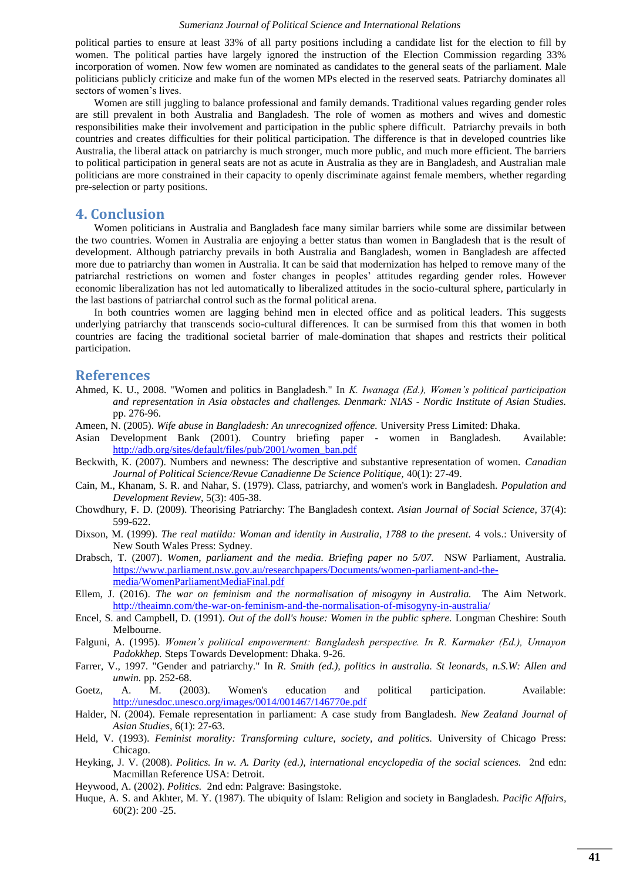political parties to ensure at least 33% of all party positions including a candidate list for the election to fill by women. The political parties have largely ignored the instruction of the Election Commission regarding 33% incorporation of women. Now few women are nominated as candidates to the general seats of the parliament. Male politicians publicly criticize and make fun of the women MPs elected in the reserved seats. Patriarchy dominates all sectors of women's lives.

Women are still juggling to balance professional and family demands. Traditional values regarding gender roles are still prevalent in both Australia and Bangladesh. The role of women as mothers and wives and domestic responsibilities make their involvement and participation in the public sphere difficult. Patriarchy prevails in both countries and creates difficulties for their political participation. The difference is that in developed countries like Australia, the liberal attack on patriarchy is much stronger, much more public, and much more efficient. The barriers to political participation in general seats are not as acute in Australia as they are in Bangladesh, and Australian male politicians are more constrained in their capacity to openly discriminate against female members, whether regarding pre-selection or party positions.

# **4. Conclusion**

Women politicians in Australia and Bangladesh face many similar barriers while some are dissimilar between the two countries. Women in Australia are enjoying a better status than women in Bangladesh that is the result of development. Although patriarchy prevails in both Australia and Bangladesh, women in Bangladesh are affected more due to patriarchy than women in Australia. It can be said that modernization has helped to remove many of the patriarchal restrictions on women and foster changes in peoples' attitudes regarding gender roles. However economic liberalization has not led automatically to liberalized attitudes in the socio-cultural sphere, particularly in the last bastions of patriarchal control such as the formal political arena.

In both countries women are lagging behind men in elected office and as political leaders. This suggests underlying patriarchy that transcends socio-cultural differences. It can be surmised from this that women in both countries are facing the traditional societal barrier of male-domination that shapes and restricts their political participation.

# **References**

- <span id="page-6-17"></span>Ahmed, K. U., 2008. "Women and politics in Bangladesh." In *K. Iwanaga (Ed.), Women's political participation and representation in Asia obstacles and challenges. Denmark: NIAS - Nordic Institute of Asian Studies.* pp. 276-96.
- <span id="page-6-16"></span>Ameen, N. (2005). *Wife abuse in Bangladesh: An unrecognized offence.* University Press Limited: Dhaka.
- <span id="page-6-14"></span>Asian Development Bank (2001). Country briefing paper - women in Bangladesh. Available: [http://adb.org/sites/default/files/pub/2001/women\\_ban.pdf](http://adb.org/sites/default/files/pub/2001/women_ban.pdf)
- <span id="page-6-0"></span>Beckwith, K. (2007). Numbers and newness: The descriptive and substantive representation of women. *Canadian Journal of Political Science/Revue Canadienne De Science Politique,* 40(1): 27-49.
- <span id="page-6-15"></span>Cain, M., Khanam, S. R. and Nahar, S. (1979). Class, patriarchy, and women's work in Bangladesh. *Population and Development Review,* 5(3): 405-38.
- <span id="page-6-12"></span>Chowdhury, F. D. (2009). Theorising Patriarchy: The Bangladesh context. *Asian Journal of Social Science,* 37(4): 599-622.
- <span id="page-6-6"></span>Dixson, M. (1999). *The real matilda: Woman and identity in Australia, 1788 to the present.* 4 vols.: University of New South Wales Press: Sydney.
- <span id="page-6-5"></span>Drabsch, T. (2007). *Women, parliament and the media. Briefing paper no 5/07.* NSW Parliament, Australia. [https://www.parliament.nsw.gov.au/researchpapers/Documents/women-parliament-and-the](http://www.parliament.nsw.gov.au/researchpapers/Documents/women-parliament-and-the-media/WomenParliamentMediaFinal.pdf)[media/WomenParliamentMediaFinal.pdf](http://www.parliament.nsw.gov.au/researchpapers/Documents/women-parliament-and-the-media/WomenParliamentMediaFinal.pdf)
- <span id="page-6-9"></span>Ellem, J. (2016). *The war on feminism and the normalisation of misogyny in Australia.* The Aim Network. <http://theaimn.com/the-war-on-feminism-and-the-normalisation-of-misogyny-in-australia/>
- <span id="page-6-7"></span>Encel, S. and Campbell, D. (1991). *Out of the doll's house: Women in the public sphere.* Longman Cheshire: South Melbourne.
- <span id="page-6-10"></span>Falguni, A. (1995). *Women's political empowerment: Bangladesh perspective. In R. Karmaker (Ed.), Unnayon Padokkhep.* Steps Towards Development: Dhaka. 9-26.
- <span id="page-6-8"></span>Farrer, V., 1997. "Gender and patriarchy." In *R. Smith (ed.), politics in australia. St leonards, n.S.W: Allen and unwin.* pp. 252-68.
- <span id="page-6-3"></span>Goetz, A. M. (2003). Women's education and political participation. Available: <http://unesdoc.unesco.org/images/0014/001467/146770e.pdf>
- <span id="page-6-11"></span>Halder, N. (2004). Female representation in parliament: A case study from Bangladesh. *New Zealand Journal of Asian Studies,* 6(1): 27-63.
- <span id="page-6-4"></span>Held, V. (1993). *Feminist morality: Transforming culture, society, and politics.* University of Chicago Press: Chicago.
- <span id="page-6-1"></span>Heyking, J. V. (2008). *Politics. In w. A. Darity (ed.), international encyclopedia of the social sciences.* 2nd edn: Macmillan Reference USA: Detroit.
- <span id="page-6-2"></span>Heywood, A. (2002). *Politics.* 2nd edn: Palgrave: Basingstoke.
- <span id="page-6-13"></span>Huque, A. S. and Akhter, M. Y. (1987). The ubiquity of Islam: Religion and society in Bangladesh. *Pacific Affairs,* 60(2): 200 -25.